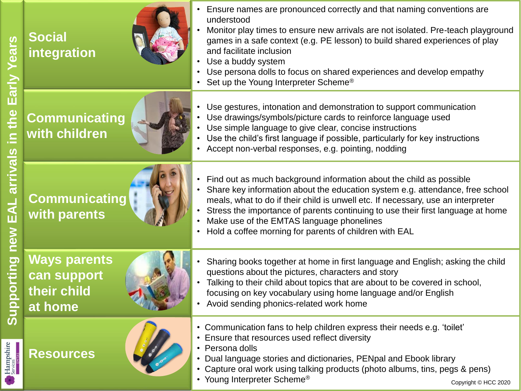| ears<br><u>Sary</u><br>in the<br>arrivals<br>$\overline{\mathbf{A}}$<br>new<br>upporting                      | <b>Social</b><br>integration                                 | Ensure names are pronounced correctly and that naming conventions are<br>understood<br>Monitor play times to ensure new arrivals are not isolated. Pre-teach playground<br>games in a safe context (e.g. PE lesson) to build shared experiences of play<br>and facilitate inclusion<br>Use a buddy system<br>$\bullet$<br>Use persona dolls to focus on shared experiences and develop empathy<br>Set up the Young Interpreter Scheme <sup>®</sup> |  |
|---------------------------------------------------------------------------------------------------------------|--------------------------------------------------------------|----------------------------------------------------------------------------------------------------------------------------------------------------------------------------------------------------------------------------------------------------------------------------------------------------------------------------------------------------------------------------------------------------------------------------------------------------|--|
|                                                                                                               | <b>Communicating</b><br>with children                        | Use gestures, intonation and demonstration to support communication<br>Use drawings/symbols/picture cards to reinforce language used<br>Use simple language to give clear, concise instructions<br>Use the child's first language if possible, particularly for key instructions<br>Accept non-verbal responses, e.g. pointing, nodding                                                                                                            |  |
|                                                                                                               | <b>Communicating</b><br>with parents                         | Find out as much background information about the child as possible<br>$\bullet$<br>Share key information about the education system e.g. attendance, free school<br>meals, what to do if their child is unwell etc. If necessary, use an interpreter<br>Stress the importance of parents continuing to use their first language at home<br>Make use of the EMTAS language phonelines<br>Hold a coffee morning for parents of children with EAL    |  |
|                                                                                                               | <b>Ways parents</b><br>can support<br>their child<br>at home | Sharing books together at home in first language and English; asking the child<br>questions about the pictures, characters and story<br>Talking to their child about topics that are about to be covered in school,<br>focusing on key vocabulary using home language and/or English<br>Avoid sending phonics-related work home                                                                                                                    |  |
| ທັ<br>Hampshire<br>Services<br>• Persona dolls<br><b>Resources</b><br>• Young Interpreter Scheme <sup>®</sup> |                                                              | • Communication fans to help children express their needs e.g. 'toilet'<br>• Ensure that resources used reflect diversity<br>Dual language stories and dictionaries, PENpal and Ebook library<br>• Capture oral work using talking products (photo albums, tins, pegs & pens)<br>Copyright © HCC 2020                                                                                                                                              |  |